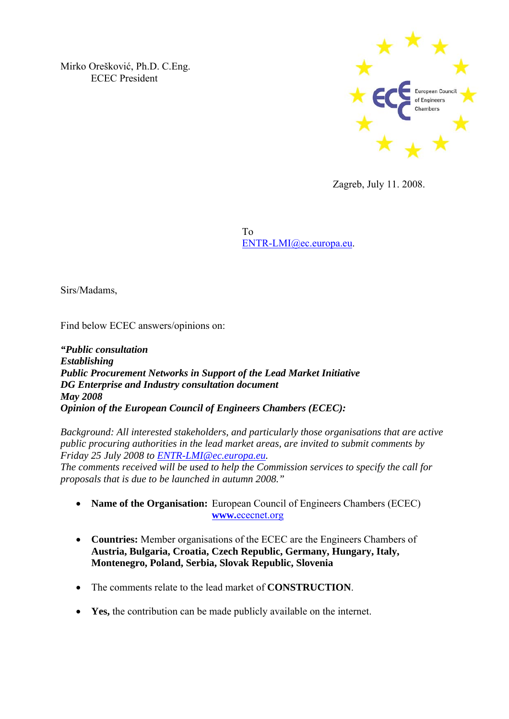Mirko Orešković, Ph.D. C.Eng. ECEC President



Zagreb, July 11. 2008.

 To ENTR-LMI@ec.europa.eu.

Sirs/Madams,

Find below ECEC answers/opinions on:

*"Public consultation Establishing Public Procurement Networks in Support of the Lead Market Initiative DG Enterprise and Industry consultation document May 2008 Opinion of the European Council of Engineers Chambers (ECEC):* 

*Background: All interested stakeholders, and particularly those organisations that are active public procuring authorities in the lead market areas, are invited to submit comments by Friday 25 July 2008 to ENTR-LMI@ec.europa.eu. The comments received will be used to help the Commission services to specify the call for proposals that is due to be launched in autumn 2008."* 

- **Name of the Organisation:** European Council of Engineers Chambers (ECEC) **www.**ececnet.org
- **Countries:** Member organisations of the ECEC are the Engineers Chambers of **Austria, Bulgaria, Croatia, Czech Republic, Germany, Hungary, Italy, Montenegro, Poland, Serbia, Slovak Republic, Slovenia**
- The comments relate to the lead market of **CONSTRUCTION**.
- **Yes,** the contribution can be made publicly available on the internet.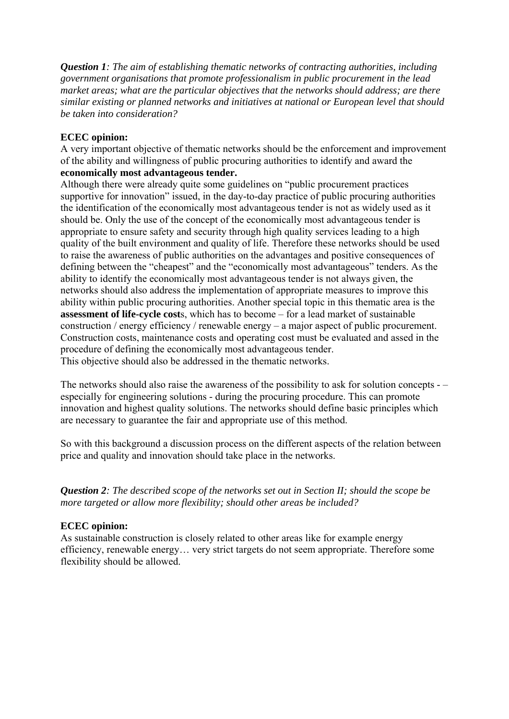*Question 1: The aim of establishing thematic networks of contracting authorities, including government organisations that promote professionalism in public procurement in the lead market areas; what are the particular objectives that the networks should address; are there similar existing or planned networks and initiatives at national or European level that should be taken into consideration?* 

## **ECEC opinion:**

A very important objective of thematic networks should be the enforcement and improvement of the ability and willingness of public procuring authorities to identify and award the **economically most advantageous tender.** 

Although there were already quite some guidelines on "public procurement practices supportive for innovation" issued, in the day-to-day practice of public procuring authorities the identification of the economically most advantageous tender is not as widely used as it should be. Only the use of the concept of the economically most advantageous tender is appropriate to ensure safety and security through high quality services leading to a high quality of the built environment and quality of life. Therefore these networks should be used to raise the awareness of public authorities on the advantages and positive consequences of defining between the "cheapest" and the "economically most advantageous" tenders. As the ability to identify the economically most advantageous tender is not always given, the networks should also address the implementation of appropriate measures to improve this ability within public procuring authorities. Another special topic in this thematic area is the **assessment of life-cycle cost**s, which has to become – for a lead market of sustainable construction / energy efficiency / renewable energy – a major aspect of public procurement. Construction costs, maintenance costs and operating cost must be evaluated and assed in the procedure of defining the economically most advantageous tender. This objective should also be addressed in the thematic networks.

The networks should also raise the awareness of the possibility to ask for solution concepts - – especially for engineering solutions - during the procuring procedure. This can promote innovation and highest quality solutions. The networks should define basic principles which are necessary to guarantee the fair and appropriate use of this method.

So with this background a discussion process on the different aspects of the relation between price and quality and innovation should take place in the networks.

*Question 2: The described scope of the networks set out in Section II; should the scope be more targeted or allow more flexibility; should other areas be included?* 

## **ECEC opinion:**

As sustainable construction is closely related to other areas like for example energy efficiency, renewable energy… very strict targets do not seem appropriate. Therefore some flexibility should be allowed.